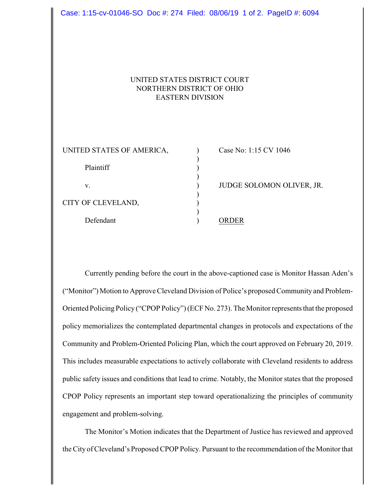| Case: 1:15-cv-01046-SO Doc #: 274 Filed: 08/06/19 1 of 2. PageID #: 6094             |  |                           |
|--------------------------------------------------------------------------------------|--|---------------------------|
| UNITED STATES DISTRICT COURT<br>NORTHERN DISTRICT OF OHIO<br><b>EASTERN DIVISION</b> |  |                           |
| UNITED STATES OF AMERICA,<br>Plaintiff                                               |  | Case No: 1:15 CV 1046     |
| V.                                                                                   |  | JUDGE SOLOMON OLIVER, JR. |
| CITY OF CLEVELAND,                                                                   |  |                           |
| Defendant                                                                            |  | <b>ORDER</b>              |
|                                                                                      |  |                           |

Currently pending before the court in the above-captioned case is Monitor Hassan Aden's ("Monitor") Motion to Approve Cleveland Division of Police's proposed Community and Problem-Oriented Policing Policy ("CPOP Policy") (ECF No. 273). The Monitor represents that the proposed policy memorializes the contemplated departmental changes in protocols and expectations of the Community and Problem-Oriented Policing Plan, which the court approved on February 20, 2019. This includes measurable expectations to actively collaborate with Cleveland residents to address public safety issues and conditions that lead to crime. Notably, the Monitor states that the proposed CPOP Policy represents an important step toward operationalizing the principles of community engagement and problem-solving.

The Monitor's Motion indicates that the Department of Justice has reviewed and approved the City of Cleveland's Proposed CPOP Policy. Pursuant to the recommendation of the Monitor that